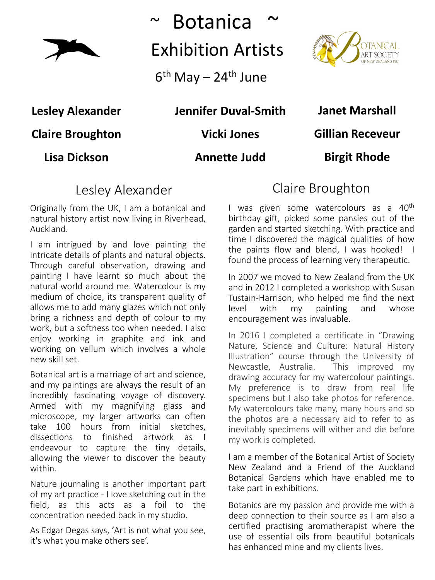

~ Botanica ~ Exhibition Artists

 $6<sup>th</sup>$  May – 24<sup>th</sup> June



**Lesley Alexander**

**Claire Broughton**

**Lisa Dickson**

#### **Jennifer Duval-Smith**

**Vicki Jones**

#### **Annette Judd**

**Janet Marshall**

**Gillian Receveur**

**Birgit Rhode**

## Lesley Alexander

Originally from the UK, I am a botanical and natural history artist now living in Riverhead, Auckland.

I am intrigued by and love painting the intricate details of plants and natural objects. Through careful observation, drawing and painting I have learnt so much about the natural world around me. Watercolour is my medium of choice, its transparent quality of allows me to add many glazes which not only bring a richness and depth of colour to my work, but a softness too when needed. I also enjoy working in graphite and ink and working on vellum which involves a whole new skill set.

Botanical art is a marriage of art and science, and my paintings are always the result of an incredibly fascinating voyage of discovery. Armed with my magnifying glass and microscope, my larger artworks can often take 100 hours from initial sketches, dissections to finished artwork as I endeavour to capture the tiny details, allowing the viewer to discover the beauty within.

Nature journaling is another important part of my art practice - I love sketching out in the field, as this acts as a foil to the concentration needed back in my studio.

As Edgar Degas says, 'Art is not what you see, it's what you make others see'.

## Claire Broughton

I was given some watercolours as a 40<sup>th</sup> birthday gift, picked some pansies out of the garden and started sketching. With practice and time I discovered the magical qualities of how the paints flow and blend, I was hooked! I found the process of learning very therapeutic.

In 2007 we moved to New Zealand from the UK and in 2012 I completed a workshop with Susan Tustain-Harrison, who helped me find the next level with my painting and whose encouragement was invaluable.

In 2016 I completed a certificate in "Drawing Nature, Science and Culture: Natural History Illustration" course through the University of Newcastle, Australia. This improved my drawing accuracy for my watercolour paintings. My preference is to draw from real life specimens but I also take photos for reference. My watercolours take many, many hours and so the photos are a necessary aid to refer to as inevitably specimens will wither and die before my work is completed.

I am a member of the Botanical Artist of Society New Zealand and a Friend of the Auckland Botanical Gardens which have enabled me to take part in exhibitions.

Botanics are my passion and provide me with a deep connection to their source as I am also a certified practising aromatherapist where the use of essential oils from beautiful botanicals has enhanced mine and my clients lives.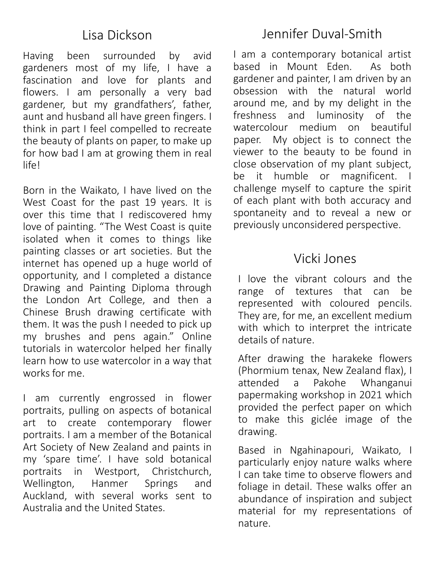#### Lisa Dickson

Having been surrounded by avid gardeners most of my life, I have a fascination and love for plants and flowers. I am personally a very bad gardener, but my grandfathers', father, aunt and husband all have green fingers. I think in part I feel compelled to recreate the beauty of plants on paper, to make up for how bad I am at growing them in real life!

Born in the Waikato, I have lived on the West Coast for the past 19 years. It is over this time that I rediscovered hmy love of painting. "The West Coast is quite isolated when it comes to things like painting classes or art societies. But the internet has opened up a huge world of opportunity, and I completed a distance Drawing and Painting Diploma through the London Art College, and then a Chinese Brush drawing certificate with them. It was the push I needed to pick up my brushes and pens again." Online tutorials in watercolor helped her finally learn how to use watercolor in a way that works for me.

I am currently engrossed in flower portraits, pulling on aspects of botanical art to create contemporary flower portraits. I am a member of the Botanical Art Society of New Zealand and paints in my 'spare time'. I have sold botanical portraits in Westport, Christchurch, Wellington, Hanmer Springs and Auckland, with several works sent to Australia and the United States.

I am a contemporary botanical artist based in Mount Eden. As both gardener and painter, I am driven by an obsession with the natural world around me, and by my delight in the freshness and luminosity of the watercolour medium on beautiful paper. My object is to connect the viewer to the beauty to be found in close observation of my plant subject, be it humble or magnificent. I challenge myself to capture the spirit of each plant with both accuracy and spontaneity and to reveal a new or previously unconsidered perspective.

### Vicki Jones

I love the vibrant colours and the range of textures that can be represented with coloured pencils. They are, for me, an excellent medium with which to interpret the intricate details of nature.

After drawing the harakeke flowers (Phormium tenax, New Zealand flax), I attended a Pakohe Whanganui papermaking workshop in 2021 which provided the perfect paper on which to make this giclée image of the drawing.

Based in Ngahinapouri, Waikato, I particularly enjoy nature walks where I can take time to observe flowers and foliage in detail. These walks offer an abundance of inspiration and subject material for my representations of nature.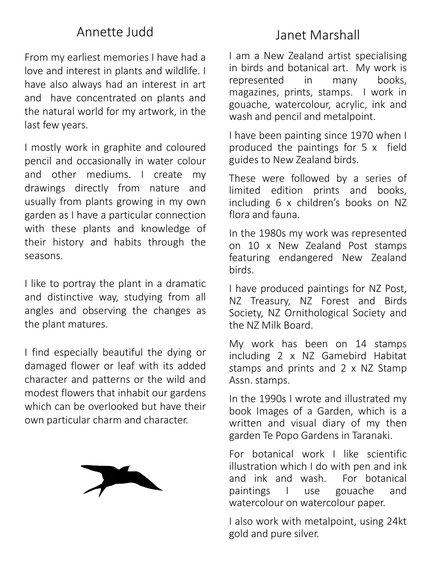## Annette Judd

From my earliest memories I have had a love and interest in plants and wildlife. I have also always had an interest in art and have concentrated on plants and the natural world for my artwork, in the last few years.

I mostly work in graphite and coloured pencil and occasionally in water colour and other mediums. I create my drawings directly from nature and usually from plants growing in my own garden as I have a particular connection with these plants and knowledge of their history and habits through the seasons.

I like to portray the plant in a dramatic and distinctive way, studying from all angles and observing the changes as the plant matures.

I find especially beautiful the dying or damaged flower or leaf with its added character and patterns or the wild and modest flowers that inhabit our gardens which can be overlooked but have their own particular charm and character.



# Janet Marshall

I am a New Zealand artist specialising in birds and botanical art. My work is represented in many books, magazines, prints, stamps. I work in gouache, watercolour, acrylic, ink and wash and pencil and metalpoint.

I have been painting since 1970 when I produced the paintings for 5 x field guides to New Zealand birds.

These were followed by a series of limited edition prints and books, including 6 x children's books on NZ flora and fauna.

In the 1980s my work was represented on 10 x New Zealand Post stamps featuring endangered New Zealand birds.

I have produced paintings for NZ Post, NZ Treasury, NZ Forest and Birds Society, NZ Ornithological Society and the NZ Milk Board.

My work has been on 14 stamps including 2 x NZ Gamebird Habitat stamps and prints and 2 x NZ Stamp Assn. stamps.

In the 1990s I wrote and illustrated my book Images of a Garden, which is a written and visual diary of my then garden Te Popo Gardens in Taranaki.

For botanical work I like scientific illustration which I do with pen and ink and ink and wash. For botanical paintings I use gouache and watercolour on watercolour paper.

I also work with metalpoint, using 24kt gold and pure silver.